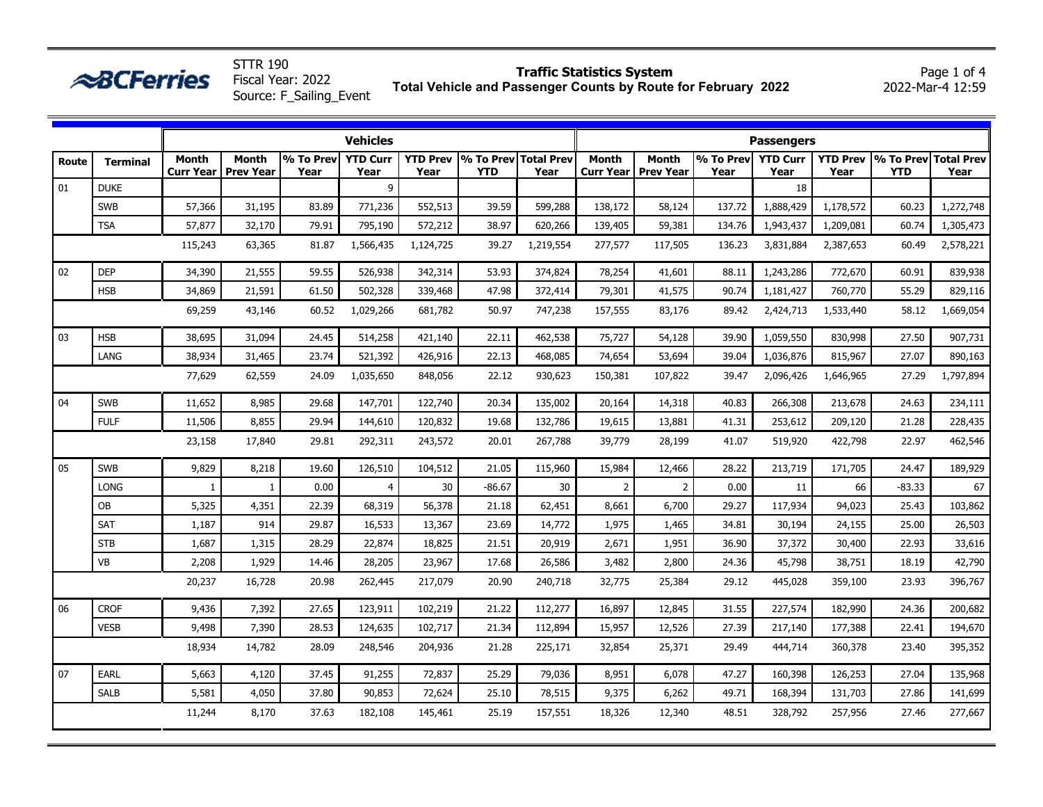| Route | <b>Terminal</b> | <b>Vehicles</b><br>% To Prev<br><b>YTD Curr</b><br><b>YTD Prev</b><br>% To Prev Total Prev<br><b>Month</b><br><b>Month</b> |                  |       |           |           |            |           |                  | <b>Passengers</b><br>$\sqrt{96}$ To Prev<br><b>YTD Prev</b><br>% To Prev Total Prev<br><b>Month</b><br><b>YTD Curr</b><br><b>Month</b> |        |           |           |            |           |  |  |  |
|-------|-----------------|----------------------------------------------------------------------------------------------------------------------------|------------------|-------|-----------|-----------|------------|-----------|------------------|----------------------------------------------------------------------------------------------------------------------------------------|--------|-----------|-----------|------------|-----------|--|--|--|
|       |                 | <b>Curr Year</b>                                                                                                           | <b>Prev Year</b> | Year  | Year      | Year      | <b>YTD</b> | Year      | <b>Curr Year</b> | <b>Prev Year</b>                                                                                                                       | Year   | Year      | Year      | <b>YTD</b> | Year      |  |  |  |
| 01    | <b>DUKE</b>     |                                                                                                                            |                  |       | 9         |           |            |           |                  |                                                                                                                                        |        | 18        |           |            |           |  |  |  |
|       | <b>SWB</b>      | 57,366                                                                                                                     | 31,195           | 83.89 | 771,236   | 552,513   | 39.59      | 599,288   | 138,172          | 58,124                                                                                                                                 | 137.72 | 1,888,429 | 1,178,572 | 60.23      | 1,272,748 |  |  |  |
|       | <b>TSA</b>      | 57,877                                                                                                                     | 32,170           | 79.91 | 795,190   | 572,212   | 38.97      | 620,266   | 139,405          | 59,381                                                                                                                                 | 134.76 | 1,943,437 | 1,209,081 | 60.74      | 1,305,473 |  |  |  |
|       |                 | 115,243                                                                                                                    | 63,365           | 81.87 | 1,566,435 | 1,124,725 | 39.27      | 1,219,554 | 277,577          | 117,505                                                                                                                                | 136.23 | 3,831,884 | 2,387,653 | 60.49      | 2,578,221 |  |  |  |
| 02    | <b>DEP</b>      | 34,390                                                                                                                     | 21,555           | 59.55 | 526,938   | 342,314   | 53.93      | 374,824   | 78,254           | 41,601                                                                                                                                 | 88.11  | 1,243,286 | 772,670   | 60.91      | 839,938   |  |  |  |
|       | <b>HSB</b>      | 34,869                                                                                                                     | 21,591           | 61.50 | 502,328   | 339,468   | 47.98      | 372,414   | 79,301           | 41,575                                                                                                                                 | 90.74  | 1,181,427 | 760,770   | 55.29      | 829,116   |  |  |  |
|       |                 | 69,259                                                                                                                     | 43,146           | 60.52 | 1,029,266 | 681,782   | 50.97      | 747,238   | 157,555          | 83,176                                                                                                                                 | 89.42  | 2,424,713 | 1,533,440 | 58.12      | 1,669,054 |  |  |  |
| 03    | <b>HSB</b>      | 38,695                                                                                                                     | 31,094           | 24.45 | 514,258   | 421,140   | 22.11      | 462,538   | 75,727           | 54,128                                                                                                                                 | 39.90  | 1,059,550 | 830,998   | 27.50      | 907,731   |  |  |  |
|       | LANG            | 38,934                                                                                                                     | 31,465           | 23.74 | 521,392   | 426,916   | 22.13      | 468,085   | 74,654           | 53,694                                                                                                                                 | 39.04  | 1,036,876 | 815,967   | 27.07      | 890,163   |  |  |  |
|       |                 | 77,629                                                                                                                     | 62,559           | 24.09 | 1,035,650 | 848,056   | 22.12      | 930,623   | 150,381          | 107,822                                                                                                                                | 39.47  | 2,096,426 | 1,646,965 | 27.29      | 1,797,894 |  |  |  |
| 04    | <b>SWB</b>      | 11,652                                                                                                                     | 8,985            | 29.68 | 147,701   | 122,740   | 20.34      | 135,002   | 20,164           | 14,318                                                                                                                                 | 40.83  | 266,308   | 213,678   | 24.63      | 234,111   |  |  |  |
|       | <b>FULF</b>     | 11,506                                                                                                                     | 8,855            | 29.94 | 144,610   | 120,832   | 19.68      | 132,786   | 19,615           | 13,881                                                                                                                                 | 41.31  | 253,612   | 209,120   | 21.28      | 228,435   |  |  |  |
|       |                 | 23,158                                                                                                                     | 17,840           | 29.81 | 292,311   | 243,572   | 20.01      | 267,788   | 39,779           | 28,199                                                                                                                                 | 41.07  | 519,920   | 422,798   | 22.97      | 462,546   |  |  |  |
| 05    | <b>SWB</b>      | 9,829                                                                                                                      | 8,218            | 19.60 | 126,510   | 104,512   | 21.05      | 115,960   | 15,984           | 12,466                                                                                                                                 | 28.22  | 213,719   | 171,705   | 24.47      | 189,929   |  |  |  |
|       | <b>LONG</b>     | $\mathbf{1}$                                                                                                               |                  | 0.00  | 4         | $30\,$    | $-86.67$   | 30        | $\overline{2}$   | $\mathfrak{p}$                                                                                                                         | 0.00   | 11        | 66        | $-83.33$   | 67        |  |  |  |
|       | <b>OB</b>       | 5,325                                                                                                                      | 4,351            | 22.39 | 68,319    | 56,378    | 21.18      | 62,451    | 8,661            | 6,700                                                                                                                                  | 29.27  | 117,934   | 94,023    | 25.43      | 103,862   |  |  |  |
|       | SAT             | 1,187                                                                                                                      | 914              | 29.87 | 16,533    | 13,367    | 23.69      | 14,772    | 1,975            | 1,465                                                                                                                                  | 34.81  | 30,194    | 24,155    | 25.00      | 26,503    |  |  |  |
|       | <b>STB</b>      | 1,687                                                                                                                      | 1,315            | 28.29 | 22,874    | 18,825    | 21.51      | 20,919    | 2,671            | 1,951                                                                                                                                  | 36.90  | 37,372    | 30,400    | 22.93      | 33,616    |  |  |  |
|       | VB              | 2,208                                                                                                                      | 1,929            | 14.46 | 28,205    | 23,967    | 17.68      | 26,586    | 3,482            | 2,800                                                                                                                                  | 24.36  | 45,798    | 38,751    | 18.19      | 42,790    |  |  |  |
|       |                 | 20,237                                                                                                                     | 16,728           | 20.98 | 262,445   | 217,079   | 20.90      | 240,718   | 32,775           | 25,384                                                                                                                                 | 29.12  | 445,028   | 359,100   | 23.93      | 396,767   |  |  |  |
| 06    | <b>CROF</b>     | 9,436                                                                                                                      | 7,392            | 27.65 | 123,911   | 102,219   | 21.22      | 112,277   | 16,897           | 12,845                                                                                                                                 | 31.55  | 227,574   | 182,990   | 24.36      | 200,682   |  |  |  |
|       | <b>VESB</b>     | 9,498                                                                                                                      | 7,390            | 28.53 | 124,635   | 102,717   | 21.34      | 112,894   | 15,957           | 12,526                                                                                                                                 | 27.39  | 217,140   | 177,388   | 22.41      | 194,670   |  |  |  |
|       |                 | 18,934                                                                                                                     | 14,782           | 28.09 | 248,546   | 204,936   | 21.28      | 225,171   | 32,854           | 25,371                                                                                                                                 | 29.49  | 444,714   | 360,378   | 23.40      | 395,352   |  |  |  |
| 07    | EARL            | 5,663                                                                                                                      | 4,120            | 37.45 | 91,255    | 72,837    | 25.29      | 79,036    | 8,951            | 6,078                                                                                                                                  | 47.27  | 160,398   | 126,253   | 27.04      | 135,968   |  |  |  |
|       | <b>SALB</b>     | 5,581                                                                                                                      | 4,050            | 37.80 | 90,853    | 72,624    | 25.10      | 78,515    | 9,375            | 6,262                                                                                                                                  | 49.71  | 168,394   | 131,703   | 27.86      | 141,699   |  |  |  |
|       |                 | 11,244                                                                                                                     | 8,170            | 37.63 | 182,108   | 145,461   | 25.19      | 157,551   | 18,326           | 12,340                                                                                                                                 | 48.51  | 328,792   | 257,956   | 27.46      | 277,667   |  |  |  |

**Traffic Statistics System**

Page 1 of 4

STTR 190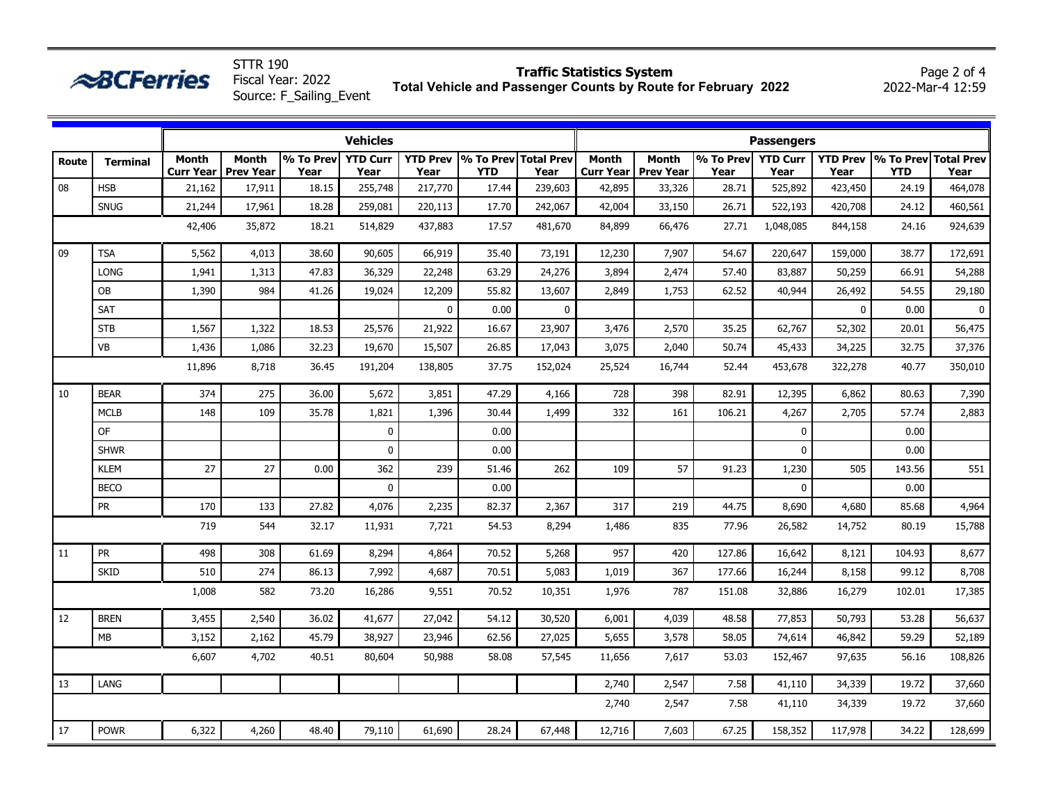|                                                                                                                                                                                                                                                             |                 |                           |                                  | Source: F_Sailing_Event |                         |             | ruar venicle and rassenger counts by Koute for February |             |                   |                                       |                   |                         |                         |                                    | 2022 <sup>-</sup> 1101 <sup>-</sup> 7 12.33 |  |  |
|-------------------------------------------------------------------------------------------------------------------------------------------------------------------------------------------------------------------------------------------------------------|-----------------|---------------------------|----------------------------------|-------------------------|-------------------------|-------------|---------------------------------------------------------|-------------|-------------------|---------------------------------------|-------------------|-------------------------|-------------------------|------------------------------------|---------------------------------------------|--|--|
|                                                                                                                                                                                                                                                             |                 |                           |                                  |                         | <b>Vehicles</b>         |             |                                                         |             | <b>Passengers</b> |                                       |                   |                         |                         |                                    |                                             |  |  |
| Route                                                                                                                                                                                                                                                       | <b>Terminal</b> | Month<br><b>Curr Year</b> | <b>Month</b><br><b>Prev Year</b> | % To Prev<br>Year       | <b>YTD Curr</b><br>Year | Year        | YTD Prev % To Prev Total Prev<br><b>YTD</b>             | Year        | <b>Month</b>      | <b>Month</b><br>Curr Year   Prev Year | % To Prev<br>Year | <b>YTD Curr</b><br>Year | <b>YTD Prev</b><br>Year | % To Prev Total Prev<br><b>YTD</b> | Year                                        |  |  |
| 08                                                                                                                                                                                                                                                          | <b>HSB</b>      | 21,162                    | 17,911                           | 18.15                   | 255,748                 | 217,770     | 17.44                                                   | 239,603     | 42,895            | 33,326                                | 28.71             | 525,892                 | 423,450                 | 24.19                              | 464,078                                     |  |  |
|                                                                                                                                                                                                                                                             | <b>SNUG</b>     | 21,244                    | 17,961                           | 18.28                   | 259,081                 | 220,113     | 17.70                                                   | 242,067     | 42,004            | 33,150                                | 26.71             | 522,193                 | 420,708                 | 24.12                              | 460,561                                     |  |  |
|                                                                                                                                                                                                                                                             |                 | 42,406                    | 35,872                           | 18.21                   | 514,829                 | 437,883     | 17.57                                                   | 481,670     | 84,899            | 66,476                                | 27.71             | 1,048,085               | 844,158                 | 24.16                              | 924,639                                     |  |  |
| 09                                                                                                                                                                                                                                                          | <b>TSA</b>      | 5,562                     | 4,013                            | 38.60                   | 90,605                  | 66,919      | 35.40                                                   | 73,191      | 12,230            | 7,907                                 | 54.67             | 220,647                 | 159,000                 | 38.77                              | 172,691                                     |  |  |
| <b>LONG</b><br>OB<br>SAT<br><b>STB</b><br>$\mathsf{VB}$<br><b>BEAR</b><br>10<br><b>MCLB</b><br><b>OF</b><br><b>SHWR</b><br><b>KLEM</b><br><b>BECO</b><br><b>PR</b><br>PR<br>11<br><b>SKID</b><br>12<br><b>BREN</b><br>MB<br>LANG<br>13<br>17<br><b>POWR</b> |                 | 1,941                     | 1,313                            | 47.83                   | 36,329                  | 22,248      | 63.29                                                   | 24,276      | 3,894             | 2,474                                 | 57.40             | 83,887                  | 50,259                  | 66.91                              | 54,288                                      |  |  |
|                                                                                                                                                                                                                                                             |                 | 1,390                     | 984                              | 41.26                   | 19,024                  | 12,209      | 55.82                                                   | 13,607      | 2,849             | 1,753                                 | 62.52             | 40,944                  | 26,492                  | 54.55                              | 29,180                                      |  |  |
|                                                                                                                                                                                                                                                             |                 |                           |                                  |                         |                         | $\mathbf 0$ | 0.00                                                    | $\mathbf 0$ |                   |                                       |                   |                         | $\mathbf 0$             | 0.00                               | $\mathbf 0$                                 |  |  |
|                                                                                                                                                                                                                                                             |                 | 1,567                     | 1,322                            | 18.53                   | 25,576                  | 21,922      | 16.67                                                   | 23,907      | 3,476             | 2,570                                 | 35.25             | 62,767                  | 52,302                  | 20.01                              | 56,475                                      |  |  |
|                                                                                                                                                                                                                                                             |                 | 1,436                     | 1,086                            | 32.23                   | 19,670                  | 15,507      | 26.85                                                   | 17,043      | 3,075             | 2,040                                 | 50.74             | 45,433                  | 34,225                  | 32.75                              | 37,376                                      |  |  |
|                                                                                                                                                                                                                                                             |                 | 11,896                    | 8,718                            | 36.45                   | 191,204                 | 138,805     | 37.75                                                   | 152,024     | 25,524            | 16,744                                | 52.44             | 453,678                 | 322,278                 | 40.77                              | 350,010                                     |  |  |
|                                                                                                                                                                                                                                                             |                 | 374                       | 275                              | 36.00                   | 5,672                   | 3,851       | 47.29                                                   | 4,166       | 728               | 398                                   | 82.91             | 12,395                  | 6,862                   | 80.63                              | 7,390                                       |  |  |
|                                                                                                                                                                                                                                                             |                 | 148                       | 109                              | 35.78                   | 1,821                   | 1,396       | 30.44                                                   | 1,499       | 332               | 161                                   | 106.21            | 4,267                   | 2,705                   | 57.74                              | 2,883                                       |  |  |
|                                                                                                                                                                                                                                                             |                 |                           |                                  |                         | $\mathbf 0$             |             | 0.00                                                    |             |                   |                                       |                   | 0                       |                         | 0.00                               |                                             |  |  |
|                                                                                                                                                                                                                                                             |                 |                           |                                  |                         | $\pmb{0}$               |             | 0.00                                                    |             |                   |                                       |                   | 0                       |                         | 0.00                               |                                             |  |  |
|                                                                                                                                                                                                                                                             |                 | 27                        | 27                               | 0.00                    | 362                     | 239         | 51.46                                                   | 262         | 109               | 57                                    | 91.23             | 1,230                   | 505                     | 143.56                             | 551                                         |  |  |
|                                                                                                                                                                                                                                                             |                 |                           |                                  |                         | $\mathbf 0$             |             | 0.00                                                    |             |                   |                                       |                   | 0                       |                         | 0.00                               |                                             |  |  |
|                                                                                                                                                                                                                                                             |                 | 170                       | 133                              | 27.82                   | 4,076                   | 2,235       | 82.37                                                   | 2,367       | 317               | 219                                   | 44.75             | 8,690                   | 4,680                   | 85.68                              | 4,964                                       |  |  |
|                                                                                                                                                                                                                                                             |                 | 719                       | 544                              | 32.17                   | 11,931                  | 7,721       | 54.53                                                   | 8,294       | 1,486             | 835                                   | 77.96             | 26,582                  | 14,752                  | 80.19                              | 15,788                                      |  |  |
|                                                                                                                                                                                                                                                             |                 | 498                       | 308                              | 61.69                   | 8,294                   | 4,864       | 70.52                                                   | 5,268       | 957               | 420                                   | 127.86            | 16,642                  | 8,121                   | 104.93                             | 8,677                                       |  |  |
|                                                                                                                                                                                                                                                             |                 | 510                       | 274                              | 86.13                   | 7,992                   | 4,687       | 70.51                                                   | 5,083       | 1,019             | 367                                   | 177.66            | 16,244                  | 8,158                   | 99.12                              | 8,708                                       |  |  |
|                                                                                                                                                                                                                                                             |                 | 1,008                     | 582                              | 73.20                   | 16,286                  | 9,551       | 70.52                                                   | 10,351      | 1,976             | 787                                   | 151.08            | 32,886                  | 16,279                  | 102.01                             | 17,385                                      |  |  |
|                                                                                                                                                                                                                                                             |                 | 3,455                     | 2,540                            | 36.02                   | 41,677                  | 27,042      | 54.12                                                   | 30,520      | 6,001             | 4,039                                 | 48.58             | 77,853                  | 50,793                  | 53.28                              | 56,637                                      |  |  |
|                                                                                                                                                                                                                                                             |                 | 3,152                     | 2,162                            | 45.79                   | 38,927                  | 23,946      | 62.56                                                   | 27,025      | 5,655             | 3,578                                 | 58.05             | 74,614                  | 46,842                  | 59.29                              | 52,189                                      |  |  |
|                                                                                                                                                                                                                                                             |                 | 6,607                     | 4,702                            | 40.51                   | 80,604                  | 50,988      | 58.08                                                   | 57,545      | 11,656            | 7,617                                 | 53.03             | 152,467                 | 97,635                  | 56.16                              | 108,826                                     |  |  |
|                                                                                                                                                                                                                                                             |                 |                           |                                  |                         |                         |             |                                                         |             | 2,740             | 2,547                                 | 7.58              | 41,110                  | 34,339                  | 19.72                              | 37,660                                      |  |  |
|                                                                                                                                                                                                                                                             |                 |                           |                                  |                         |                         |             |                                                         |             | 2,740             | 2,547                                 | 7.58              | 41,110                  | 34,339                  | 19.72                              | 37,660                                      |  |  |
|                                                                                                                                                                                                                                                             |                 | 6,322                     | 4,260                            | 48.40                   | 79,110                  | 61,690      | 28.24                                                   | 67,448      | 12,716            | 7,603                                 | 67.25             | 158,352                 | 117,978                 | 34.22                              | 128,699                                     |  |  |

**ABCFerries** 

STTR 190 Fiscal Year: 2022

## **Traffic Statistics System**

**Total Vehicle and Passenger Counts by Route for February 2022**

Page 2 of 4 2022-Mar-4 12:59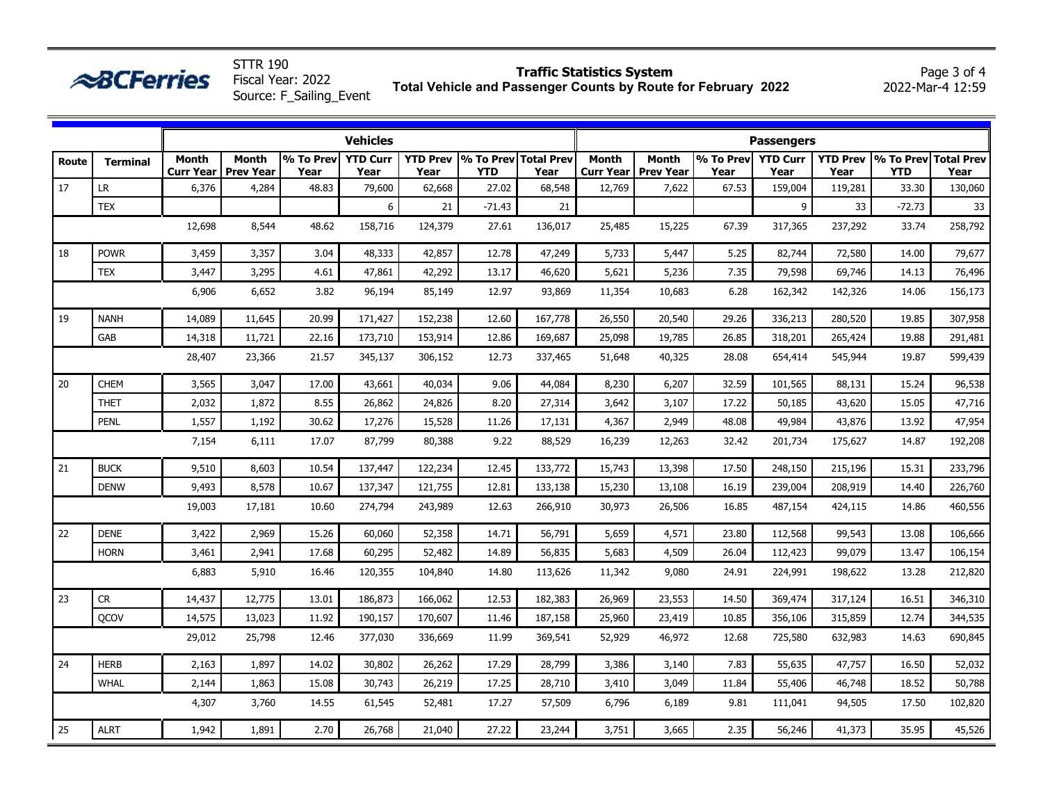| טכו חוכ<br><b>Traffic Statistics System</b><br><b>ABCFerries</b><br>Fiscal Year: 2022<br>Total Vehicle and Passenger Counts by Route for February 2022<br>2022-Mar-4 12:59<br>Source: F Sailing Event |                 |                                  |                                  |                             |                         |                         |                                    |         |                           |                                  |                             |                         |                         | Page 3 of 4                        |         |  |  |
|-------------------------------------------------------------------------------------------------------------------------------------------------------------------------------------------------------|-----------------|----------------------------------|----------------------------------|-----------------------------|-------------------------|-------------------------|------------------------------------|---------|---------------------------|----------------------------------|-----------------------------|-------------------------|-------------------------|------------------------------------|---------|--|--|
|                                                                                                                                                                                                       | <b>Vehicles</b> |                                  |                                  |                             |                         |                         |                                    |         |                           | <b>Passengers</b>                |                             |                         |                         |                                    |         |  |  |
| Route                                                                                                                                                                                                 | <b>Terminal</b> | <b>Month</b><br><b>Curr Year</b> | <b>Month</b><br><b>Prev Year</b> | $\sqrt{96}$ To Prev<br>Year | <b>YTD Curr</b><br>Year | <b>YTD Prev</b><br>Year | % To Prev Total Prev<br><b>YTD</b> | Year    | <b>Month</b><br>Curr Year | <b>Month</b><br><b>Prev Year</b> | $\sqrt{96}$ To Prev<br>Year | <b>YTD Curr</b><br>Year | <b>YTD Prev</b><br>Year | % To Prev Total Prev<br><b>YTD</b> | Year    |  |  |
| 17                                                                                                                                                                                                    | <b>LR</b>       | 6,376                            | 4,284                            | 48.83                       | 79,600                  | 62,668                  | 27.02                              | 68,548  | 12,769                    | 7,622                            | 67.53                       | 159,004                 | 119,281                 | 33.30                              | 130,060 |  |  |
|                                                                                                                                                                                                       | <b>TEX</b>      |                                  |                                  |                             | 6                       | 21                      | $-71.43$                           | 21      |                           |                                  |                             | 9                       | 33 <sup>2</sup>         | $-72.73$                           | 33      |  |  |
|                                                                                                                                                                                                       |                 | 12,698                           | 8,544                            | 48.62                       | 158,716                 | 124,379                 | 27.61                              | 136,017 | 25,485                    | 15,225                           | 67.39                       | 317,365                 | 237,292                 | 33.74                              | 258,792 |  |  |
| 18                                                                                                                                                                                                    | <b>POWR</b>     | 3,459                            | 3,357                            | 3.04                        | 48,333                  | 42,857                  | 12.78                              | 47,249  | 5,733                     | 5,447                            | 5.25                        | 82,744                  | 72,580                  | 14.00                              | 79,677  |  |  |
|                                                                                                                                                                                                       | <b>TEX</b>      | 3,447                            | 3,295                            | 4.61                        | 47,861                  | 42,292                  | 13.17                              | 46,620  | 5,621                     | 5,236                            | 7.35                        | 79,598                  | 69,746                  | 14.13                              | 76,496  |  |  |
|                                                                                                                                                                                                       |                 | 6,906                            | 6,652                            | 3.82                        | 96,194                  | 85,149                  | 12.97                              | 93,869  | 11,354                    | 10,683                           | 6.28                        | 162,342                 | 142,326                 | 14.06                              | 156,173 |  |  |
| 19                                                                                                                                                                                                    | <b>NANH</b>     | 14,089                           | 11,645                           | 20.99                       | 171,427                 | 152,238                 | 12.60                              | 167,778 | 26,550                    | 20,540                           | 29.26                       | 336,213                 | 280,520                 | 19.85                              | 307,958 |  |  |
|                                                                                                                                                                                                       | GAB             | 14,318                           | 11,721                           | 22.16                       | 173,710                 | 153,914                 | 12.86                              | 169,687 | 25,098                    | 19,785                           | 26.85                       | 318,201                 | 265,424                 | 19.88                              | 291,481 |  |  |
|                                                                                                                                                                                                       |                 | 28,407                           | 23,366                           | 21.57                       | 345,137                 | 306,152                 | 12.73                              | 337,465 | 51,648                    | 40,325                           | 28.08                       | 654,414                 | 545,944                 | 19.87                              | 599,439 |  |  |
| 20                                                                                                                                                                                                    | <b>CHEM</b>     | 3,565                            | 3,047                            | 17.00                       | 43,661                  | 40,034                  | 9.06                               | 44,084  | 8,230                     | 6,207                            | 32.59                       | 101,565                 | 88,131                  | 15.24                              | 96,538  |  |  |
|                                                                                                                                                                                                       | <b>THET</b>     | 2,032                            | 1,872                            | 8.55                        | 26,862                  | 24,826                  | 8.20                               | 27,314  | 3,642                     | 3,107                            | 17.22                       | 50,185                  | 43,620                  | 15.05                              | 47,716  |  |  |
|                                                                                                                                                                                                       | PENL            | 1,557                            | 1,192                            | 30.62                       | 17,276                  | 15,528                  | 11.26                              | 17,131  | 4,367                     | 2,949                            | 48.08                       | 49,984                  | 43,876                  | 13.92                              | 47,954  |  |  |
|                                                                                                                                                                                                       |                 | 7,154                            | 6,111                            | 17.07                       | 87,799                  | 80,388                  | 9.22                               | 88,529  | 16,239                    | 12,263                           | 32.42                       | 201,734                 | 175,627                 | 14.87                              | 192,208 |  |  |
| 21                                                                                                                                                                                                    | <b>BUCK</b>     | 9,510                            | 8,603                            | 10.54                       | 137,447                 | 122,234                 | 12.45                              | 133,772 | 15,743                    | 13,398                           | 17.50                       | 248,150                 | 215,196                 | 15.31                              | 233,796 |  |  |
|                                                                                                                                                                                                       | <b>DENW</b>     | 9,493                            | 8,578                            | 10.67                       | 137,347                 | 121,755                 | 12.81                              | 133,138 | 15,230                    | 13,108                           | 16.19                       | 239,004                 | 208,919                 | 14.40                              | 226,760 |  |  |
|                                                                                                                                                                                                       |                 | 19,003                           | 17,181                           | 10.60                       | 274,794                 | 243,989                 | 12.63                              | 266,910 | 30,973                    | 26,506                           | 16.85                       | 487,154                 | 424,115                 | 14.86                              | 460,556 |  |  |
| 22                                                                                                                                                                                                    | <b>DENE</b>     | 3,422                            | 2,969                            | 15.26                       | 60,060                  | 52,358                  | 14.71                              | 56,791  | 5,659                     | 4,571                            | 23.80                       | 112,568                 | 99,543                  | 13.08                              | 106,666 |  |  |
|                                                                                                                                                                                                       | <b>HORN</b>     | 3,461                            | 2,941                            | 17.68                       | 60,295                  | 52,482                  | 14.89                              | 56,835  | 5,683                     | 4,509                            | 26.04                       | 112,423                 | 99,079                  | 13.47                              | 106,154 |  |  |
|                                                                                                                                                                                                       |                 | 6,883                            | 5,910                            | 16.46                       | 120,355                 | 104,840                 | 14.80                              | 113,626 | 11,342                    | 9,080                            | 24.91                       | 224,991                 | 198,622                 | 13.28                              | 212,820 |  |  |
| 23                                                                                                                                                                                                    | <b>CR</b>       | 14,437                           | 12,775                           | 13.01                       | 186,873                 | 166,062                 | 12.53                              | 182,383 | 26,969                    | 23,553                           | 14.50                       | 369,474                 | 317,124                 | 16.51                              | 346,310 |  |  |

QCOV | 14,575| 13,023| 11.92| 190,157| 170,607| 11.46| 187,158| 25,960| 23,419| 10.85| 356,106| 315,859| 12.74| 344,535

WHAL | 2,144| 1,863| 15.08| 30,743| 26,219| 17.25| 28,710| 3,410| 3,049| 11.84| 55,406| 46,748| 18.52| 50,788

24 |HERB | 2,163 | 1,897 | 14.02 | 30,802 | 26,262 | 17.29 | 28,799 | 3,386 | 3,140 | 7.83 | 55,635 | 47,757 | 16.50 | 52,032

25 |ALRT | 1,942 | 1,891 | 2.70 | 26,768 | 21,040 | 27.22 | 23,244 | 3,751 | 3,665 | 2.35 | 56,246 | 41,373 | 35.95 | 45,526

29,012 25,798 12.46 377,030 336,669 11.99 369,541 52,929 46,972 12.68 725,580 632,983 14.63 690,845

4,307 3,760 14.55 61,545 52,481 17.27 57,509 6,796 6,189 9.81 111,041 94,505 17.50 102,820

STTR 190